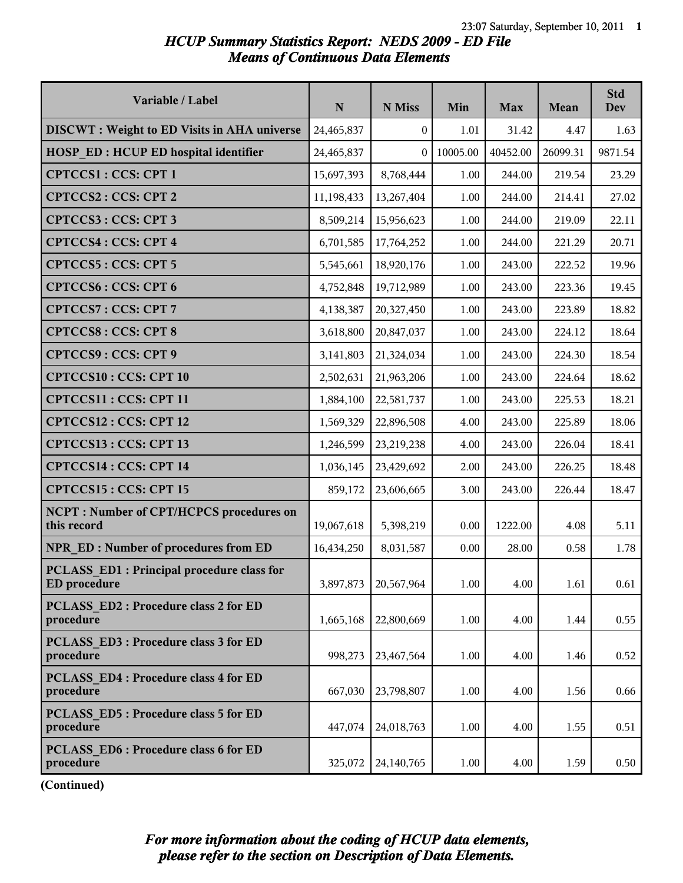## *HCUP Summary Statistics Report: NEDS 2009 - ED File Means of Continuous Data Elements*

| Variable / Label                                                  | ${\bf N}$  | N Miss           | Min      | <b>Max</b> | Mean     | <b>Std</b><br><b>Dev</b> |
|-------------------------------------------------------------------|------------|------------------|----------|------------|----------|--------------------------|
| <b>DISCWT</b> : Weight to ED Visits in AHA universe               | 24,465,837 | $\boldsymbol{0}$ | 1.01     | 31.42      | 4.47     | 1.63                     |
| <b>HOSP ED: HCUP ED hospital identifier</b>                       | 24,465,837 | $\Omega$         | 10005.00 | 40452.00   | 26099.31 | 9871.54                  |
| <b>CPTCCS1: CCS: CPT 1</b>                                        | 15,697,393 | 8,768,444        | 1.00     | 244.00     | 219.54   | 23.29                    |
| CPTCCS2: CCS: CPT 2                                               | 11,198,433 | 13,267,404       | 1.00     | 244.00     | 214.41   | 27.02                    |
| CPTCCS3: CCS: CPT 3                                               | 8,509,214  | 15,956,623       | 1.00     | 244.00     | 219.09   | 22.11                    |
| <b>CPTCCS4: CCS: CPT 4</b>                                        | 6,701,585  | 17,764,252       | 1.00     | 244.00     | 221.29   | 20.71                    |
| CPTCCS5: CCS: CPT 5                                               | 5,545,661  | 18,920,176       | 1.00     | 243.00     | 222.52   | 19.96                    |
| <b>CPTCCS6: CCS: CPT 6</b>                                        | 4,752,848  | 19,712,989       | 1.00     | 243.00     | 223.36   | 19.45                    |
| <b>CPTCCS7: CCS: CPT 7</b>                                        | 4,138,387  | 20,327,450       | 1.00     | 243.00     | 223.89   | 18.82                    |
| <b>CPTCCS8: CCS: CPT 8</b>                                        | 3,618,800  | 20,847,037       | 1.00     | 243.00     | 224.12   | 18.64                    |
| CPTCCS9: CCS: CPT 9                                               | 3,141,803  | 21,324,034       | 1.00     | 243.00     | 224.30   | 18.54                    |
| <b>CPTCCS10: CCS: CPT 10</b>                                      | 2,502,631  | 21,963,206       | 1.00     | 243.00     | 224.64   | 18.62                    |
| CPTCCS11: CCS: CPT 11                                             | 1,884,100  | 22,581,737       | 1.00     | 243.00     | 225.53   | 18.21                    |
| CPTCCS12: CCS: CPT 12                                             | 1,569,329  | 22,896,508       | 4.00     | 243.00     | 225.89   | 18.06                    |
| CPTCCS13 : CCS: CPT 13                                            | 1,246,599  | 23,219,238       | 4.00     | 243.00     | 226.04   | 18.41                    |
| CPTCCS14 : CCS: CPT 14                                            | 1,036,145  | 23,429,692       | 2.00     | 243.00     | 226.25   | 18.48                    |
| CPTCCS15: CCS: CPT 15                                             | 859,172    | 23,606,665       | 3.00     | 243.00     | 226.44   | 18.47                    |
| <b>NCPT: Number of CPT/HCPCS procedures on</b><br>this record     | 19,067,618 | 5,398,219        | 0.00     | 1222.00    | 4.08     | 5.11                     |
| NPR ED: Number of procedures from ED                              | 16,434,250 | 8,031,587        | 0.00     | 28.00      | 0.58     | 1.78                     |
| PCLASS ED1 : Principal procedure class for<br><b>ED</b> procedure | 3,897,873  | 20,567,964       | 1.00     | 4.00       | 1.61     | 0.61                     |
| <b>PCLASS ED2: Procedure class 2 for ED</b><br>procedure          | 1,665,168  | 22,800,669       | 1.00     | 4.00       | 1.44     | 0.55                     |
| PCLASS ED3 : Procedure class 3 for ED<br>procedure                | 998,273    | 23,467,564       | 1.00     | 4.00       | 1.46     | 0.52                     |
| <b>PCLASS ED4: Procedure class 4 for ED</b><br>procedure          | 667,030    | 23,798,807       | 1.00     | 4.00       | 1.56     | 0.66                     |
| PCLASS ED5 : Procedure class 5 for ED<br>procedure                | 447,074    | 24,018,763       | 1.00     | 4.00       | 1.55     | 0.51                     |
| PCLASS ED6 : Procedure class 6 for ED<br>procedure                | 325,072    | 24,140,765       | 1.00     | 4.00       | 1.59     | 0.50                     |

**(Continued)**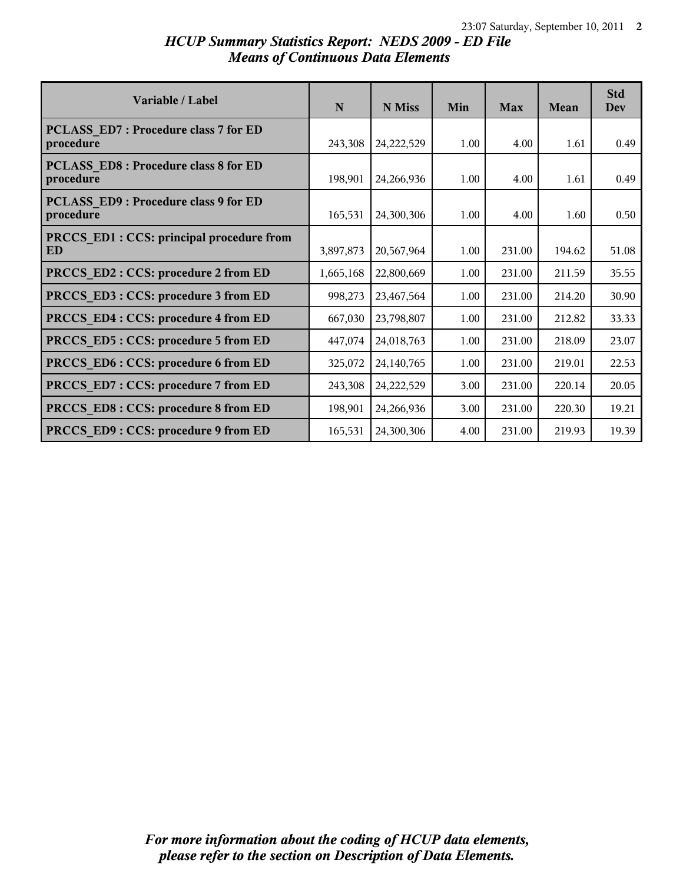## *HCUP Summary Statistics Report: NEDS 2009 - ED File Means of Continuous Data Elements*

| Variable / Label                                   | N         | N Miss       | Min  | <b>Max</b> | Mean   | <b>Std</b><br><b>Dev</b> |
|----------------------------------------------------|-----------|--------------|------|------------|--------|--------------------------|
| PCLASS ED7 : Procedure class 7 for ED<br>procedure | 243,308   | 24,222,529   | 1.00 | 4.00       | 1.61   | 0.49                     |
| PCLASS ED8 : Procedure class 8 for ED<br>procedure | 198,901   | 24,266,936   | 1.00 | 4.00       | 1.61   | 0.49                     |
| PCLASS ED9 : Procedure class 9 for ED<br>procedure | 165,531   | 24,300,306   | 1.00 | 4.00       | 1.60   | 0.50                     |
| PRCCS ED1 : CCS: principal procedure from<br>ED    | 3,897,873 | 20,567,964   | 1.00 | 231.00     | 194.62 | 51.08                    |
| PRCCS ED2 : CCS: procedure 2 from ED               | 1,665,168 | 22,800,669   | 1.00 | 231.00     | 211.59 | 35.55                    |
| PRCCS_ED3: CCS: procedure 3 from ED                | 998,273   | 23,467,564   | 1.00 | 231.00     | 214.20 | 30.90                    |
| PRCCS ED4 : CCS: procedure 4 from ED               | 667,030   | 23,798,807   | 1.00 | 231.00     | 212.82 | 33.33                    |
| PRCCS_ED5: CCS: procedure 5 from ED                | 447,074   | 24,018,763   | 1.00 | 231.00     | 218.09 | 23.07                    |
| PRCCS ED6 : CCS: procedure 6 from ED               | 325,072   | 24, 140, 765 | 1.00 | 231.00     | 219.01 | 22.53                    |
| PRCCS ED7: CCS: procedure 7 from ED                | 243,308   | 24,222,529   | 3.00 | 231.00     | 220.14 | 20.05                    |
| PRCCS ED8 : CCS: procedure 8 from ED               | 198,901   | 24,266,936   | 3.00 | 231.00     | 220.30 | 19.21                    |
| PRCCS ED9: CCS: procedure 9 from ED                | 165,531   | 24,300,306   | 4.00 | 231.00     | 219.93 | 19.39                    |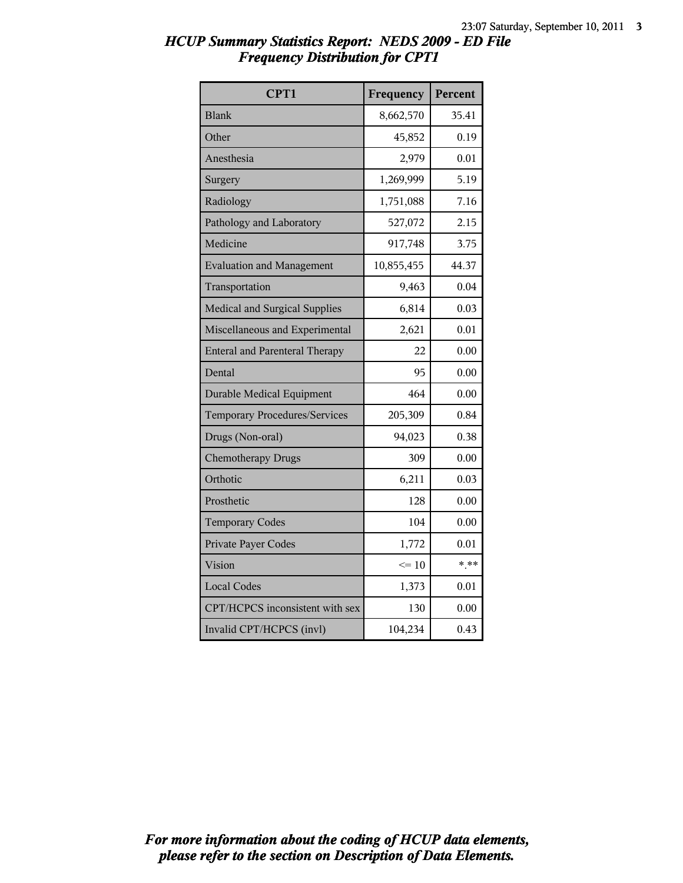| CPT1                                  | Frequency  | Percent |
|---------------------------------------|------------|---------|
| <b>Blank</b>                          | 8,662,570  | 35.41   |
| Other                                 | 45,852     | 0.19    |
| Anesthesia                            | 2,979      | 0.01    |
| Surgery                               | 1,269,999  | 5.19    |
| Radiology                             | 1,751,088  | 7.16    |
| Pathology and Laboratory              | 527,072    | 2.15    |
| Medicine                              | 917,748    | 3.75    |
| <b>Evaluation and Management</b>      | 10,855,455 | 44.37   |
| Transportation                        | 9,463      | 0.04    |
| Medical and Surgical Supplies         | 6,814      | 0.03    |
| Miscellaneous and Experimental        | 2,621      | 0.01    |
| <b>Enteral and Parenteral Therapy</b> | 22         | 0.00    |
| Dental                                | 95         | 0.00    |
| <b>Durable Medical Equipment</b>      | 464        | 0.00    |
| <b>Temporary Procedures/Services</b>  | 205,309    | 0.84    |
| Drugs (Non-oral)                      | 94,023     | 0.38    |
| <b>Chemotherapy Drugs</b>             | 309        | 0.00    |
| Orthotic                              | 6,211      | 0.03    |
| Prosthetic                            | 128        | 0.00    |
| <b>Temporary Codes</b>                | 104        | 0.00    |
| Private Payer Codes                   | 1,772      | 0.01    |
| Vision                                | $\leq 10$  | $* * *$ |
| <b>Local Codes</b>                    | 1,373      | 0.01    |
| CPT/HCPCS inconsistent with sex       | 130        | 0.00    |
| Invalid CPT/HCPCS (invl)              | 104,234    | 0.43    |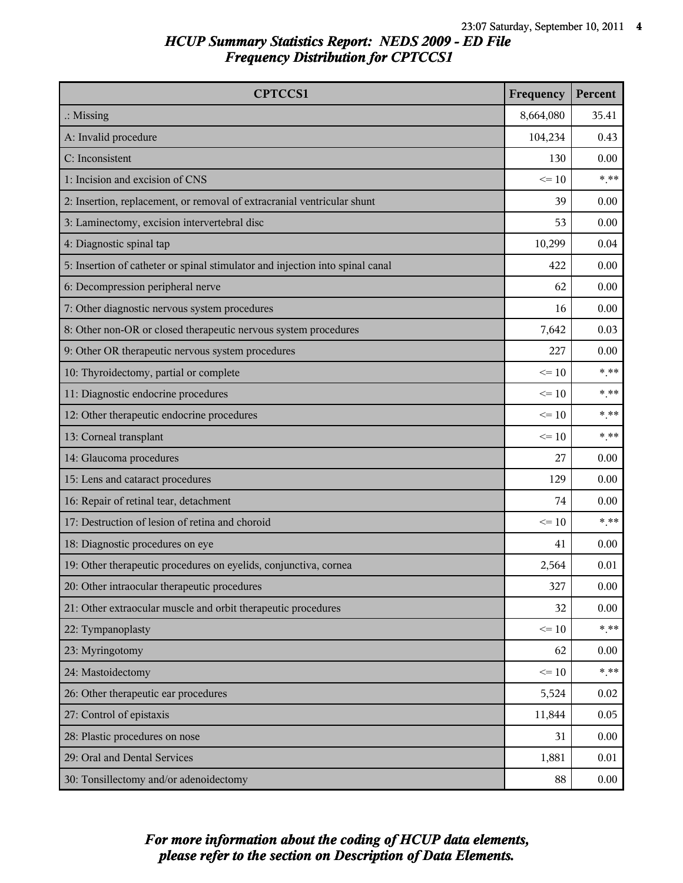| <b>CPTCCS1</b>                                                                | Frequency | Percent |
|-------------------------------------------------------------------------------|-----------|---------|
| $\therefore$ Missing                                                          | 8,664,080 | 35.41   |
| A: Invalid procedure                                                          | 104,234   | 0.43    |
| C: Inconsistent                                                               | 130       | 0.00    |
| 1: Incision and excision of CNS                                               | $\leq 10$ | $* * *$ |
| 2: Insertion, replacement, or removal of extracranial ventricular shunt       | 39        | 0.00    |
| 3: Laminectomy, excision intervertebral disc                                  | 53        | 0.00    |
| 4: Diagnostic spinal tap                                                      | 10,299    | 0.04    |
| 5: Insertion of catheter or spinal stimulator and injection into spinal canal | 422       | 0.00    |
| 6: Decompression peripheral nerve                                             | 62        | 0.00    |
| 7: Other diagnostic nervous system procedures                                 | 16        | 0.00    |
| 8: Other non-OR or closed therapeutic nervous system procedures               | 7,642     | 0.03    |
| 9: Other OR therapeutic nervous system procedures                             | 227       | 0.00    |
| 10: Thyroidectomy, partial or complete                                        | $\leq 10$ | $***$   |
| 11: Diagnostic endocrine procedures                                           | $\leq 10$ | $* * *$ |
| 12: Other therapeutic endocrine procedures                                    | $\leq 10$ | $***$   |
| 13: Corneal transplant                                                        | $\leq 10$ | $***$   |
| 14: Glaucoma procedures                                                       | 27        | 0.00    |
| 15: Lens and cataract procedures                                              | 129       | 0.00    |
| 16: Repair of retinal tear, detachment                                        | 74        | 0.00    |
| 17: Destruction of lesion of retina and choroid                               | $\leq 10$ | $***$   |
| 18: Diagnostic procedures on eye                                              | 41        | 0.00    |
| 19: Other therapeutic procedures on eyelids, conjunctiva, cornea              | 2,564     | 0.01    |
| 20: Other intraocular therapeutic procedures                                  | 327       | 0.00    |
| 21: Other extraocular muscle and orbit therapeutic procedures                 | 32        | 0.00    |
| 22: Tympanoplasty                                                             | $\leq 10$ | $***$   |
| 23: Myringotomy                                                               | 62        | 0.00    |
| 24: Mastoidectomy                                                             | $\leq 10$ | $***$   |
| 26: Other therapeutic ear procedures                                          | 5,524     | 0.02    |
| 27: Control of epistaxis                                                      | 11,844    | 0.05    |
| 28: Plastic procedures on nose                                                | 31        | 0.00    |
| 29: Oral and Dental Services                                                  | 1,881     | 0.01    |
| 30: Tonsillectomy and/or adenoidectomy                                        | 88        | 0.00    |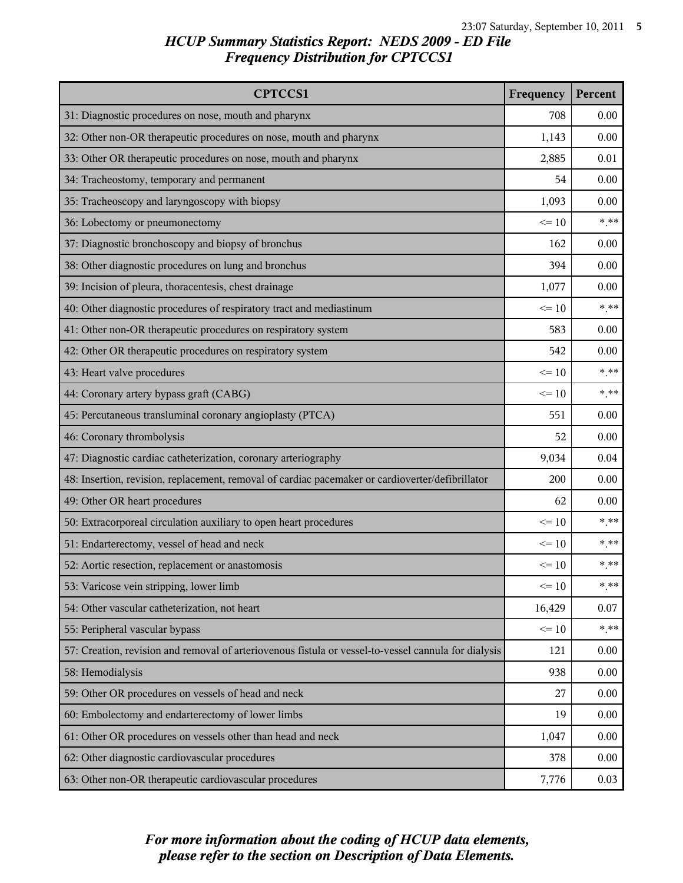| <b>CPTCCS1</b>                                                                                       | Frequency | Percent |
|------------------------------------------------------------------------------------------------------|-----------|---------|
| 31: Diagnostic procedures on nose, mouth and pharynx                                                 | 708       | 0.00    |
| 32: Other non-OR therapeutic procedures on nose, mouth and pharynx                                   | 1,143     | 0.00    |
| 33: Other OR therapeutic procedures on nose, mouth and pharynx                                       | 2,885     | 0.01    |
| 34: Tracheostomy, temporary and permanent                                                            | 54        | 0.00    |
| 35: Tracheoscopy and laryngoscopy with biopsy                                                        | 1,093     | 0.00    |
| 36: Lobectomy or pneumonectomy                                                                       | $\leq 10$ | $***$   |
| 37: Diagnostic bronchoscopy and biopsy of bronchus                                                   | 162       | 0.00    |
| 38: Other diagnostic procedures on lung and bronchus                                                 | 394       | 0.00    |
| 39: Incision of pleura, thoracentesis, chest drainage                                                | 1,077     | 0.00    |
| 40: Other diagnostic procedures of respiratory tract and mediastinum                                 | $\leq 10$ | $***$   |
| 41: Other non-OR therapeutic procedures on respiratory system                                        | 583       | 0.00    |
| 42: Other OR therapeutic procedures on respiratory system                                            | 542       | 0.00    |
| 43: Heart valve procedures                                                                           | $\leq 10$ | $***$   |
| 44: Coronary artery bypass graft (CABG)                                                              | $\leq 10$ | $***$   |
| 45: Percutaneous transluminal coronary angioplasty (PTCA)                                            | 551       | 0.00    |
| 46: Coronary thrombolysis                                                                            | 52        | 0.00    |
| 47: Diagnostic cardiac catheterization, coronary arteriography                                       | 9,034     | 0.04    |
| 48: Insertion, revision, replacement, removal of cardiac pacemaker or cardioverter/defibrillator     | 200       | 0.00    |
| 49: Other OR heart procedures                                                                        | 62        | 0.00    |
| 50: Extracorporeal circulation auxiliary to open heart procedures                                    | $\leq 10$ | $***$   |
| 51: Endarterectomy, vessel of head and neck                                                          | $\leq 10$ | $***$   |
| 52: Aortic resection, replacement or anastomosis                                                     | $\leq 10$ | $***$   |
| 53: Varicose vein stripping, lower limb                                                              | $\leq 10$ | $* * *$ |
| 54: Other vascular catheterization, not heart                                                        | 16,429    | 0.07    |
| 55: Peripheral vascular bypass                                                                       | $\leq 10$ | $***$   |
| 57: Creation, revision and removal of arteriovenous fistula or vessel-to-vessel cannula for dialysis | 121       | 0.00    |
| 58: Hemodialysis                                                                                     | 938       | 0.00    |
| 59: Other OR procedures on vessels of head and neck                                                  | 27        | 0.00    |
| 60: Embolectomy and endarterectomy of lower limbs                                                    | 19        | 0.00    |
| 61: Other OR procedures on vessels other than head and neck                                          | 1,047     | 0.00    |
| 62: Other diagnostic cardiovascular procedures                                                       | 378       | 0.00    |
| 63: Other non-OR therapeutic cardiovascular procedures                                               | 7,776     | 0.03    |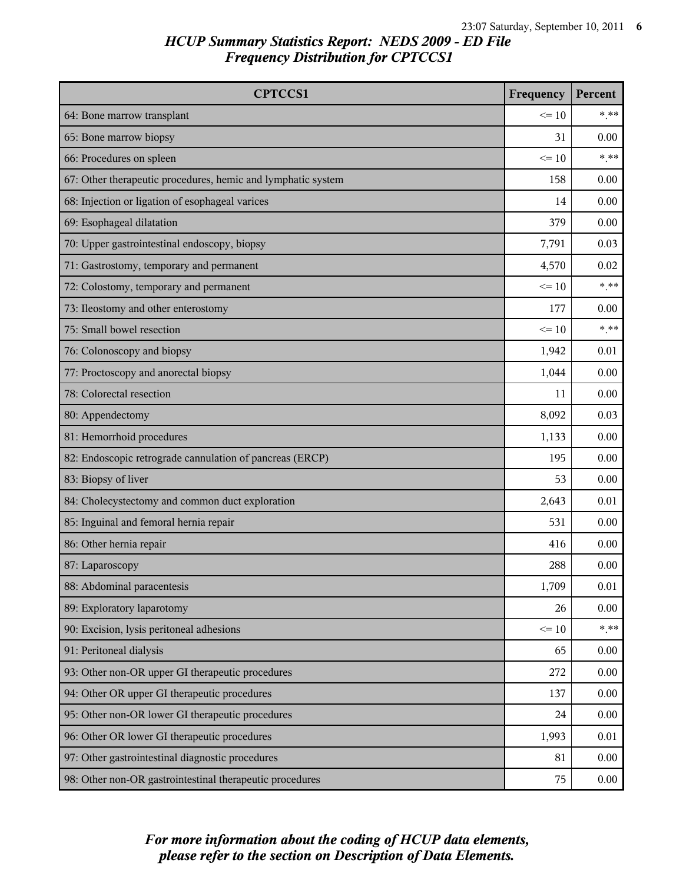| <b>CPTCCS1</b>                                               | Frequency | <b>Percent</b> |
|--------------------------------------------------------------|-----------|----------------|
| 64: Bone marrow transplant                                   | $\leq 10$ | $***$          |
| 65: Bone marrow biopsy                                       | 31        | 0.00           |
| 66: Procedures on spleen                                     | $\leq 10$ | $***$          |
| 67: Other therapeutic procedures, hemic and lymphatic system | 158       | 0.00           |
| 68: Injection or ligation of esophageal varices              | 14        | 0.00           |
| 69: Esophageal dilatation                                    | 379       | 0.00           |
| 70: Upper gastrointestinal endoscopy, biopsy                 | 7,791     | 0.03           |
| 71: Gastrostomy, temporary and permanent                     | 4,570     | 0.02           |
| 72: Colostomy, temporary and permanent                       | $\leq 10$ | $***$          |
| 73: Ileostomy and other enterostomy                          | 177       | 0.00           |
| 75: Small bowel resection                                    | $\leq 10$ | $***$          |
| 76: Colonoscopy and biopsy                                   | 1,942     | 0.01           |
| 77: Proctoscopy and anorectal biopsy                         | 1,044     | 0.00           |
| 78: Colorectal resection                                     | 11        | 0.00           |
| 80: Appendectomy                                             | 8,092     | 0.03           |
| 81: Hemorrhoid procedures                                    | 1,133     | 0.00           |
| 82: Endoscopic retrograde cannulation of pancreas (ERCP)     | 195       | 0.00           |
| 83: Biopsy of liver                                          | 53        | 0.00           |
| 84: Cholecystectomy and common duct exploration              | 2,643     | 0.01           |
| 85: Inguinal and femoral hernia repair                       | 531       | 0.00           |
| 86: Other hernia repair                                      | 416       | 0.00           |
| 87: Laparoscopy                                              | 288       | 0.00           |
| 88: Abdominal paracentesis                                   | 1,709     | 0.01           |
| 89: Exploratory laparotomy                                   | 26        | 0.00           |
| 90: Excision, lysis peritoneal adhesions                     | $\leq 10$ | $***$          |
| 91: Peritoneal dialysis                                      | 65        | 0.00           |
| 93: Other non-OR upper GI therapeutic procedures             | 272       | 0.00           |
| 94: Other OR upper GI therapeutic procedures                 | 137       | 0.00           |
| 95: Other non-OR lower GI therapeutic procedures             | 24        | 0.00           |
| 96: Other OR lower GI therapeutic procedures                 | 1,993     | 0.01           |
| 97: Other gastrointestinal diagnostic procedures             | 81        | 0.00           |
| 98: Other non-OR gastrointestinal therapeutic procedures     | 75        | 0.00           |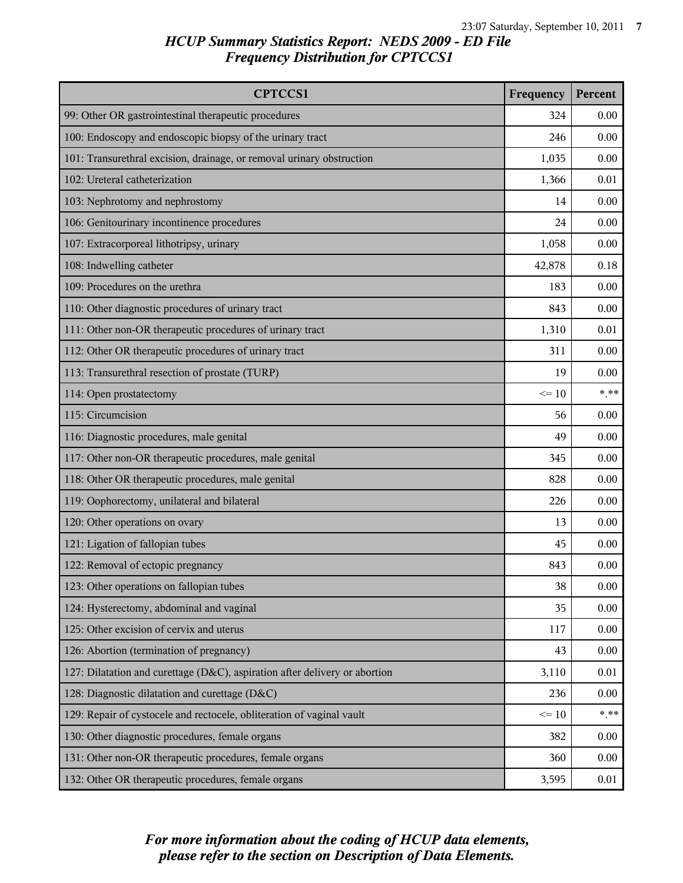| <b>CPTCCS1</b>                                                             | Frequency | Percent |
|----------------------------------------------------------------------------|-----------|---------|
| 99: Other OR gastrointestinal therapeutic procedures                       | 324       | 0.00    |
| 100: Endoscopy and endoscopic biopsy of the urinary tract                  | 246       | 0.00    |
| 101: Transurethral excision, drainage, or removal urinary obstruction      | 1,035     | 0.00    |
| 102: Ureteral catheterization                                              | 1,366     | 0.01    |
| 103: Nephrotomy and nephrostomy                                            | 14        | 0.00    |
| 106: Genitourinary incontinence procedures                                 | 24        | 0.00    |
| 107: Extracorporeal lithotripsy, urinary                                   | 1,058     | 0.00    |
| 108: Indwelling catheter                                                   | 42,878    | 0.18    |
| 109: Procedures on the urethra                                             | 183       | 0.00    |
| 110: Other diagnostic procedures of urinary tract                          | 843       | 0.00    |
| 111: Other non-OR therapeutic procedures of urinary tract                  | 1,310     | 0.01    |
| 112: Other OR therapeutic procedures of urinary tract                      | 311       | 0.00    |
| 113: Transurethral resection of prostate (TURP)                            | 19        | 0.00    |
| 114: Open prostatectomy                                                    | $\leq 10$ | $***$   |
| 115: Circumcision                                                          | 56        | 0.00    |
| 116: Diagnostic procedures, male genital                                   | 49        | 0.00    |
| 117: Other non-OR therapeutic procedures, male genital                     | 345       | 0.00    |
| 118: Other OR therapeutic procedures, male genital                         | 828       | 0.00    |
| 119: Oophorectomy, unilateral and bilateral                                | 226       | 0.00    |
| 120: Other operations on ovary                                             | 13        | 0.00    |
| 121: Ligation of fallopian tubes                                           | 45        | 0.00    |
| 122: Removal of ectopic pregnancy                                          | 843       | 0.00    |
| 123: Other operations on fallopian tubes                                   | 38        | 0.00    |
| 124: Hysterectomy, abdominal and vaginal                                   | 35        | 0.00    |
| 125: Other excision of cervix and uterus                                   | 117       | 0.00    |
| 126: Abortion (termination of pregnancy)                                   | 43        | 0.00    |
| 127: Dilatation and curettage (D&C), aspiration after delivery or abortion | 3,110     | 0.01    |
| 128: Diagnostic dilatation and curettage (D&C)                             | 236       | 0.00    |
| 129: Repair of cystocele and rectocele, obliteration of vaginal vault      | $\leq 10$ | $***$   |
| 130: Other diagnostic procedures, female organs                            | 382       | 0.00    |
| 131: Other non-OR therapeutic procedures, female organs                    | 360       | 0.00    |
| 132: Other OR therapeutic procedures, female organs                        | 3,595     | 0.01    |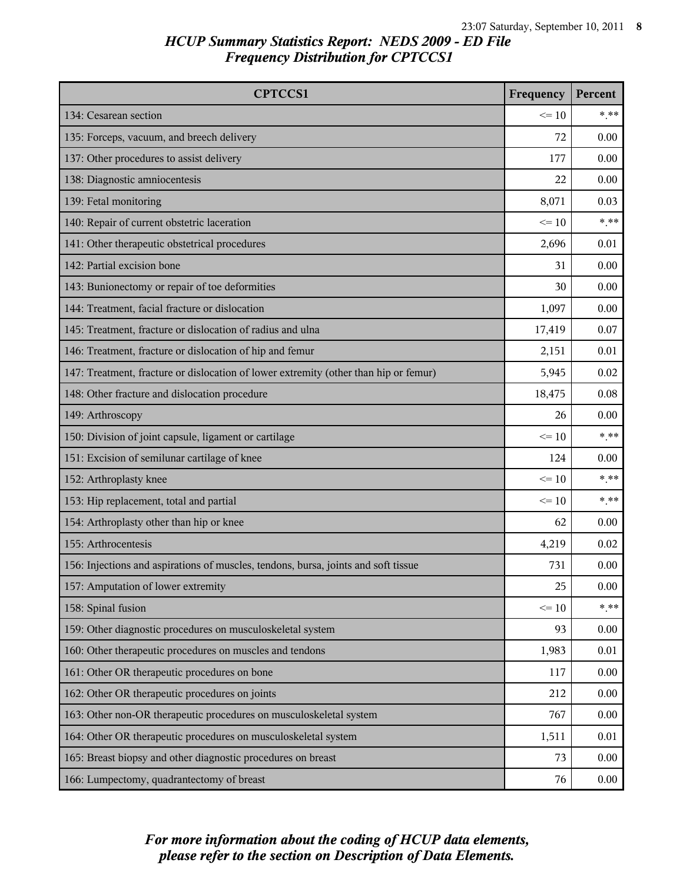| <b>CPTCCS1</b>                                                                       | Frequency | Percent |
|--------------------------------------------------------------------------------------|-----------|---------|
| 134: Cesarean section                                                                | $\leq 10$ | $* * *$ |
| 135: Forceps, vacuum, and breech delivery                                            | 72        | 0.00    |
| 137: Other procedures to assist delivery                                             | 177       | 0.00    |
| 138: Diagnostic amniocentesis                                                        | 22        | 0.00    |
| 139: Fetal monitoring                                                                | 8,071     | 0.03    |
| 140: Repair of current obstetric laceration                                          | $\leq 10$ | $***$   |
| 141: Other therapeutic obstetrical procedures                                        | 2,696     | 0.01    |
| 142: Partial excision bone                                                           | 31        | 0.00    |
| 143: Bunionectomy or repair of toe deformities                                       | 30        | 0.00    |
| 144: Treatment, facial fracture or dislocation                                       | 1,097     | 0.00    |
| 145: Treatment, fracture or dislocation of radius and ulna                           | 17,419    | 0.07    |
| 146: Treatment, fracture or dislocation of hip and femur                             | 2,151     | 0.01    |
| 147: Treatment, fracture or dislocation of lower extremity (other than hip or femur) | 5,945     | 0.02    |
| 148: Other fracture and dislocation procedure                                        | 18,475    | 0.08    |
| 149: Arthroscopy                                                                     | 26        | 0.00    |
| 150: Division of joint capsule, ligament or cartilage                                | $\leq 10$ | $***$   |
| 151: Excision of semilunar cartilage of knee                                         | 124       | 0.00    |
| 152: Arthroplasty knee                                                               | $\leq 10$ | $* * *$ |
| 153: Hip replacement, total and partial                                              | $\leq 10$ | $***$   |
| 154: Arthroplasty other than hip or knee                                             | 62        | 0.00    |
| 155: Arthrocentesis                                                                  | 4,219     | 0.02    |
| 156: Injections and aspirations of muscles, tendons, bursa, joints and soft tissue   | 731       | 0.00    |
| 157: Amputation of lower extremity                                                   | 25        | 0.00    |
| 158: Spinal fusion                                                                   | $\leq 10$ | $***$   |
| 159: Other diagnostic procedures on musculoskeletal system                           | 93        | 0.00    |
| 160: Other therapeutic procedures on muscles and tendons                             | 1,983     | 0.01    |
| 161: Other OR therapeutic procedures on bone                                         | 117       | 0.00    |
| 162: Other OR therapeutic procedures on joints                                       | 212       | 0.00    |
| 163: Other non-OR therapeutic procedures on musculoskeletal system                   | 767       | 0.00    |
| 164: Other OR therapeutic procedures on musculoskeletal system                       | 1,511     | 0.01    |
| 165: Breast biopsy and other diagnostic procedures on breast                         | 73        | 0.00    |
| 166: Lumpectomy, quadrantectomy of breast                                            | 76        | 0.00    |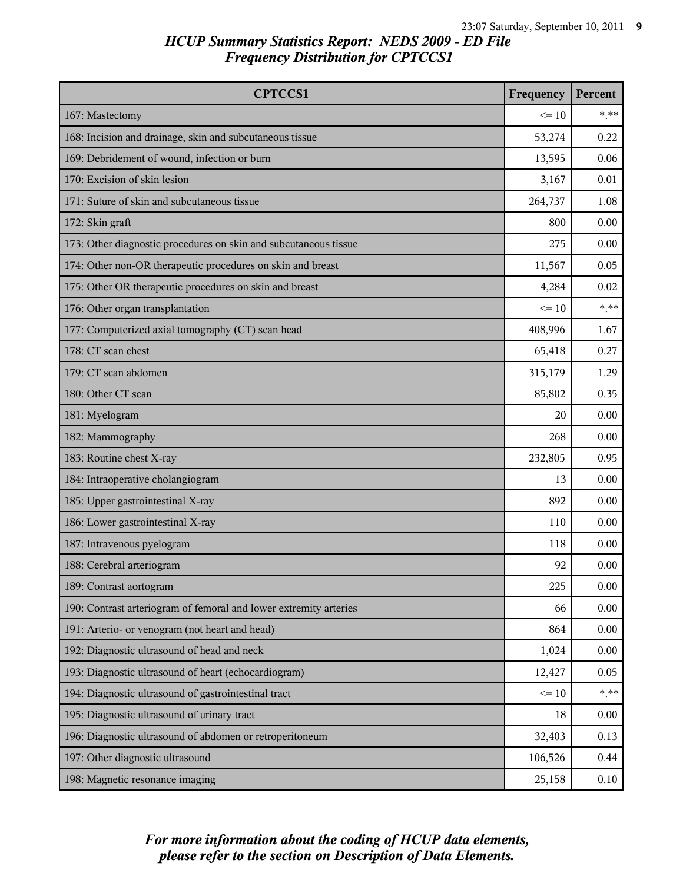| <b>CPTCCS1</b>                                                    | Frequency | Percent |
|-------------------------------------------------------------------|-----------|---------|
| 167: Mastectomy                                                   | $\leq 10$ | $* * *$ |
| 168: Incision and drainage, skin and subcutaneous tissue          | 53,274    | 0.22    |
| 169: Debridement of wound, infection or burn                      | 13,595    | 0.06    |
| 170: Excision of skin lesion                                      | 3,167     | 0.01    |
| 171: Suture of skin and subcutaneous tissue                       | 264,737   | 1.08    |
| 172: Skin graft                                                   | 800       | 0.00    |
| 173: Other diagnostic procedures on skin and subcutaneous tissue  | 275       | 0.00    |
| 174: Other non-OR therapeutic procedures on skin and breast       | 11,567    | 0.05    |
| 175: Other OR therapeutic procedures on skin and breast           | 4,284     | 0.02    |
| 176: Other organ transplantation                                  | $\leq 10$ | $***$   |
| 177: Computerized axial tomography (CT) scan head                 | 408,996   | 1.67    |
| 178: CT scan chest                                                | 65,418    | 0.27    |
| 179: CT scan abdomen                                              | 315,179   | 1.29    |
| 180: Other CT scan                                                | 85,802    | 0.35    |
| 181: Myelogram                                                    | 20        | 0.00    |
| 182: Mammography                                                  | 268       | 0.00    |
| 183: Routine chest X-ray                                          | 232,805   | 0.95    |
| 184: Intraoperative cholangiogram                                 | 13        | 0.00    |
| 185: Upper gastrointestinal X-ray                                 | 892       | 0.00    |
| 186: Lower gastrointestinal X-ray                                 | 110       | 0.00    |
| 187: Intravenous pyelogram                                        | 118       | 0.00    |
| 188: Cerebral arteriogram                                         | 92        | 0.00    |
| 189: Contrast aortogram                                           | 225       | 0.00    |
| 190: Contrast arteriogram of femoral and lower extremity arteries | 66        | 0.00    |
| 191: Arterio- or venogram (not heart and head)                    | 864       | 0.00    |
| 192: Diagnostic ultrasound of head and neck                       | 1,024     | 0.00    |
| 193: Diagnostic ultrasound of heart (echocardiogram)              | 12,427    | 0.05    |
| 194: Diagnostic ultrasound of gastrointestinal tract              | $\leq 10$ | $***$   |
| 195: Diagnostic ultrasound of urinary tract                       | 18        | 0.00    |
| 196: Diagnostic ultrasound of abdomen or retroperitoneum          | 32,403    | 0.13    |
| 197: Other diagnostic ultrasound                                  | 106,526   | 0.44    |
| 198: Magnetic resonance imaging                                   | 25,158    | 0.10    |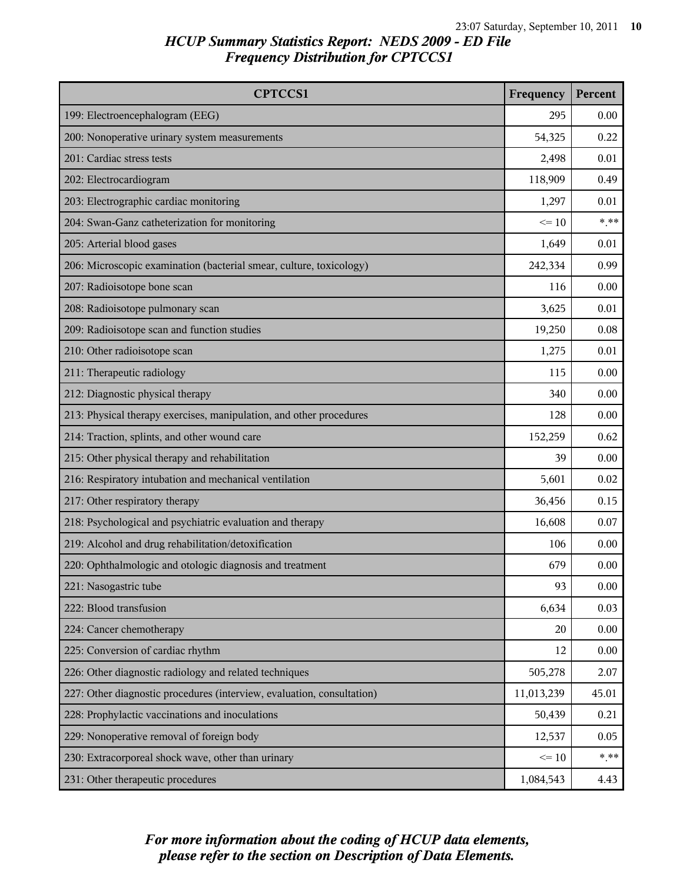| <b>CPTCCS1</b>                                                         | Frequency  | Percent |
|------------------------------------------------------------------------|------------|---------|
| 199: Electroencephalogram (EEG)                                        | 295        | 0.00    |
| 200: Nonoperative urinary system measurements                          | 54,325     | 0.22    |
| 201: Cardiac stress tests                                              | 2,498      | 0.01    |
| 202: Electrocardiogram                                                 | 118,909    | 0.49    |
| 203: Electrographic cardiac monitoring                                 | 1,297      | 0.01    |
| 204: Swan-Ganz catheterization for monitoring                          | $\leq 10$  | $***$   |
| 205: Arterial blood gases                                              | 1,649      | 0.01    |
| 206: Microscopic examination (bacterial smear, culture, toxicology)    | 242,334    | 0.99    |
| 207: Radioisotope bone scan                                            | 116        | 0.00    |
| 208: Radioisotope pulmonary scan                                       | 3,625      | 0.01    |
| 209: Radioisotope scan and function studies                            | 19,250     | 0.08    |
| 210: Other radioisotope scan                                           | 1,275      | 0.01    |
| 211: Therapeutic radiology                                             | 115        | 0.00    |
| 212: Diagnostic physical therapy                                       | 340        | 0.00    |
| 213: Physical therapy exercises, manipulation, and other procedures    | 128        | 0.00    |
| 214: Traction, splints, and other wound care                           | 152,259    | 0.62    |
| 215: Other physical therapy and rehabilitation                         | 39         | 0.00    |
| 216: Respiratory intubation and mechanical ventilation                 | 5,601      | 0.02    |
| 217: Other respiratory therapy                                         | 36,456     | 0.15    |
| 218: Psychological and psychiatric evaluation and therapy              | 16,608     | 0.07    |
| 219: Alcohol and drug rehabilitation/detoxification                    | 106        | 0.00    |
| 220: Ophthalmologic and otologic diagnosis and treatment               | 679        | 0.00    |
| 221: Nasogastric tube                                                  | 93         | 0.00    |
| 222: Blood transfusion                                                 | 6,634      | 0.03    |
| 224: Cancer chemotherapy                                               | 20         | 0.00    |
| 225: Conversion of cardiac rhythm                                      | 12         | 0.00    |
| 226: Other diagnostic radiology and related techniques                 | 505,278    | 2.07    |
| 227: Other diagnostic procedures (interview, evaluation, consultation) | 11,013,239 | 45.01   |
| 228: Prophylactic vaccinations and inoculations                        | 50,439     | 0.21    |
| 229: Nonoperative removal of foreign body                              | 12,537     | 0.05    |
| 230: Extracorporeal shock wave, other than urinary                     | $\leq 10$  | $***$   |
| 231: Other therapeutic procedures                                      | 1,084,543  | 4.43    |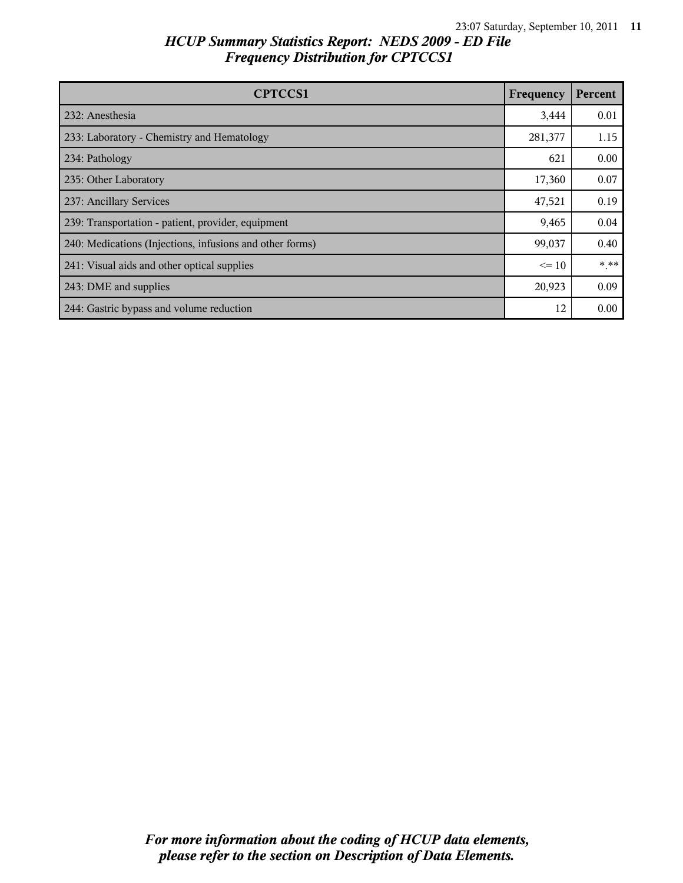| <b>CPTCCS1</b>                                           | Frequency | Percent |
|----------------------------------------------------------|-----------|---------|
| 232: Anesthesia                                          | 3,444     | 0.01    |
| 233: Laboratory - Chemistry and Hematology               | 281,377   | 1.15    |
| 234: Pathology                                           | 621       | 0.00    |
| 235: Other Laboratory                                    | 17,360    | 0.07    |
| 237: Ancillary Services                                  | 47,521    | 0.19    |
| 239: Transportation - patient, provider, equipment       | 9,465     | 0.04    |
| 240: Medications (Injections, infusions and other forms) | 99,037    | 0.40    |
| 241: Visual aids and other optical supplies              | $\leq 10$ | * **    |
| 243: DME and supplies                                    | 20,923    | 0.09    |
| 244: Gastric bypass and volume reduction                 | 12        | 0.00    |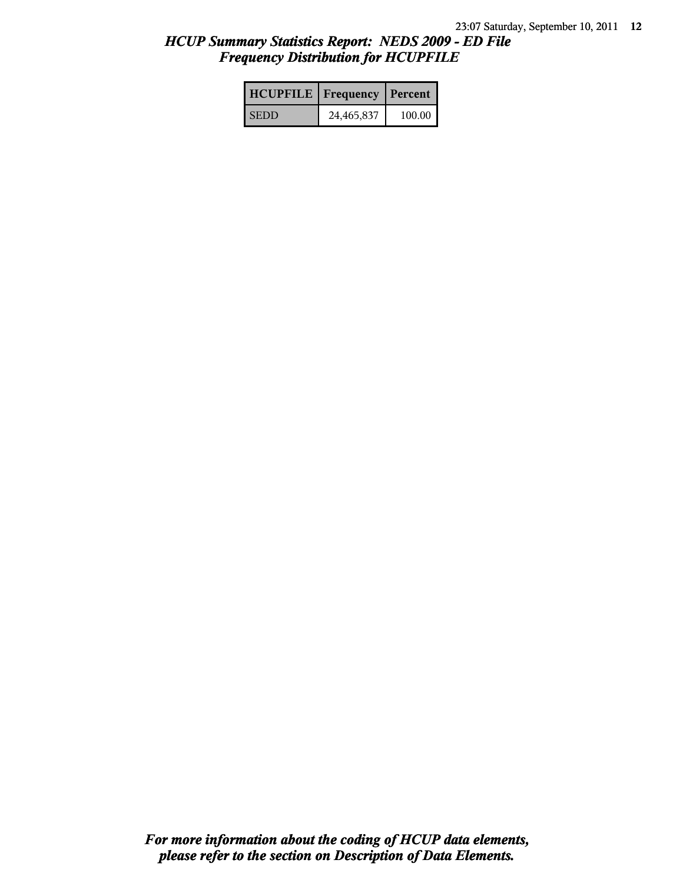| <b>HCUPFILE</b>   Frequency   Percent |            |        |
|---------------------------------------|------------|--------|
| <b>SEDD</b>                           | 24,465,837 | 100.00 |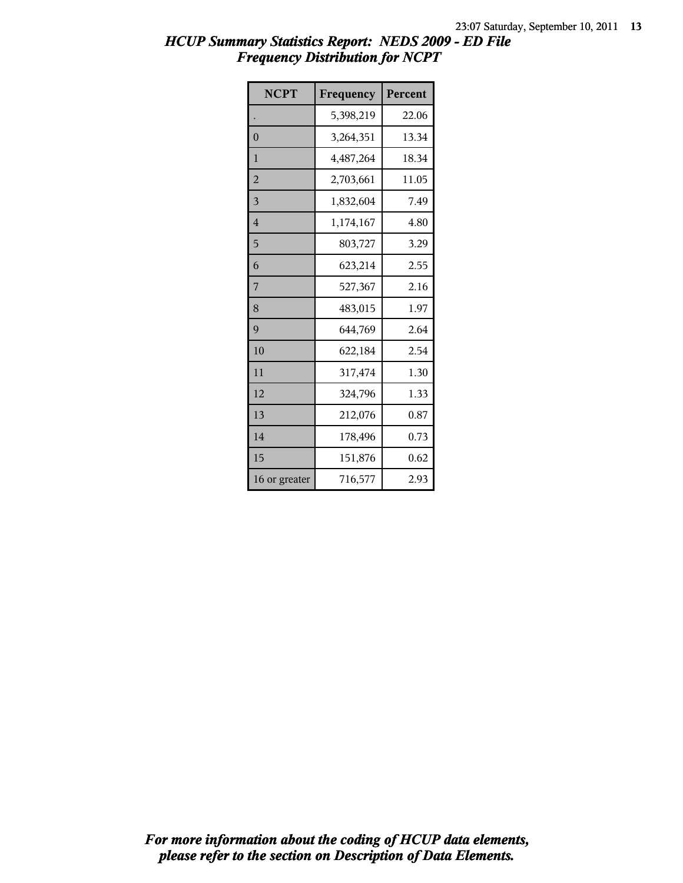| <b>NCPT</b>    | Frequency | Percent |
|----------------|-----------|---------|
|                | 5,398,219 | 22.06   |
| $\mathbf{0}$   | 3,264,351 | 13.34   |
| 1              | 4,487,264 | 18.34   |
| $\overline{2}$ | 2,703,661 | 11.05   |
| 3              | 1,832,604 | 7.49    |
| $\overline{4}$ | 1,174,167 | 4.80    |
| 5              | 803,727   | 3.29    |
| 6              | 623,214   | 2.55    |
| 7              | 527,367   | 2.16    |
| 8              | 483,015   | 1.97    |
| 9              | 644,769   | 2.64    |
| 10             | 622,184   | 2.54    |
| 11             | 317,474   | 1.30    |
| 12             | 324,796   | 1.33    |
| 13             | 212,076   | 0.87    |
| 14             | 178,496   | 0.73    |
| 15             | 151,876   | 0.62    |
| 16 or greater  | 716,577   | 2.93    |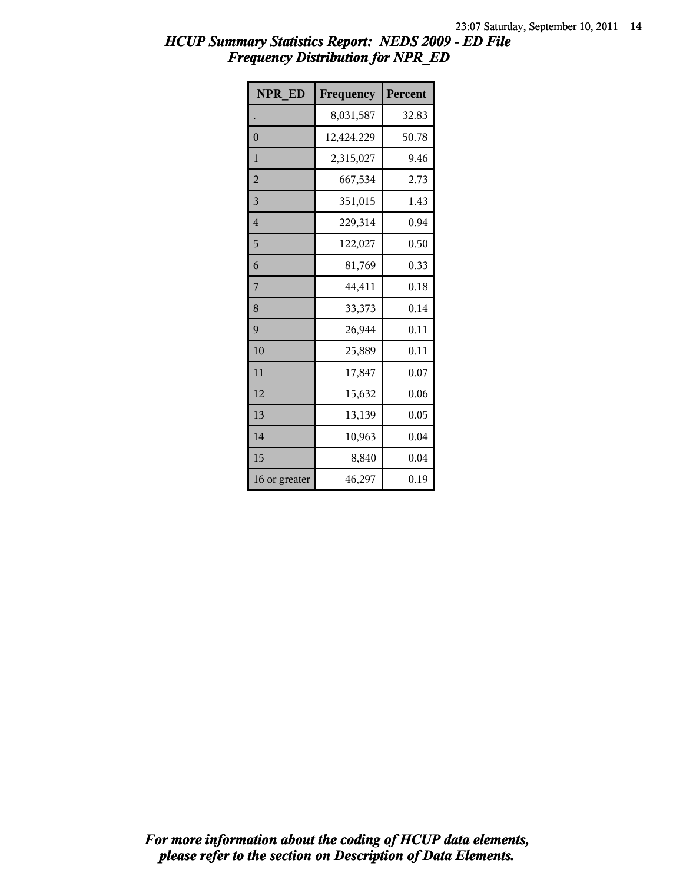| <b>NPR ED</b>  | Frequency  | Percent |
|----------------|------------|---------|
|                | 8,031,587  | 32.83   |
| $\overline{0}$ | 12,424,229 | 50.78   |
| $\mathbf{1}$   | 2,315,027  | 9.46    |
| $\overline{c}$ | 667,534    | 2.73    |
| 3              | 351,015    | 1.43    |
| $\overline{4}$ | 229,314    | 0.94    |
| 5              | 122,027    | 0.50    |
| 6              | 81,769     | 0.33    |
| 7              | 44,411     | 0.18    |
| 8              | 33,373     | 0.14    |
| 9              | 26,944     | 0.11    |
| 10             | 25,889     | 0.11    |
| 11             | 17,847     | 0.07    |
| 12             | 15,632     | 0.06    |
| 13             | 13,139     | 0.05    |
| 14             | 10,963     | 0.04    |
| 15             | 8,840      | 0.04    |
| 16 or greater  | 46,297     | 0.19    |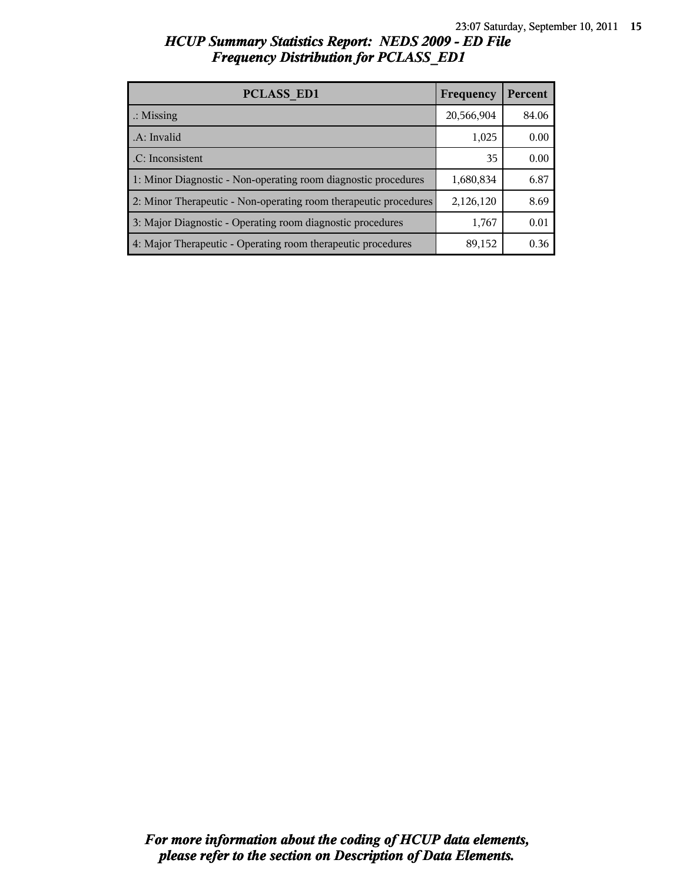| <b>PCLASS ED1</b>                                                | Frequency  | Percent |
|------------------------------------------------------------------|------------|---------|
| $\therefore$ Missing                                             | 20,566,904 | 84.06   |
| .A: Invalid                                                      | 1,025      | 0.00    |
| .C: Inconsistent                                                 | 35         | 0.00    |
| 1: Minor Diagnostic - Non-operating room diagnostic procedures   | 1,680,834  | 6.87    |
| 2: Minor Therapeutic - Non-operating room therapeutic procedures | 2,126,120  | 8.69    |
| 3: Major Diagnostic - Operating room diagnostic procedures       | 1,767      | 0.01    |
| 4: Major Therapeutic - Operating room therapeutic procedures     | 89,152     | 0.36    |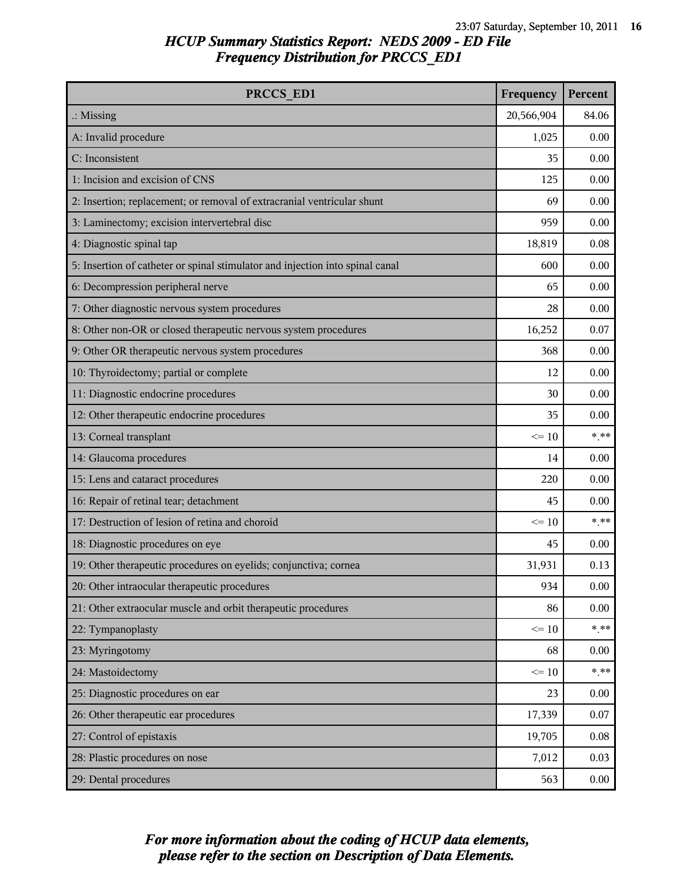| PRCCS ED1                                                                     | Frequency  | Percent |
|-------------------------------------------------------------------------------|------------|---------|
| $\therefore$ Missing                                                          | 20,566,904 | 84.06   |
| A: Invalid procedure                                                          | 1,025      | 0.00    |
| C: Inconsistent                                                               | 35         | 0.00    |
| 1: Incision and excision of CNS                                               | 125        | 0.00    |
| 2: Insertion; replacement; or removal of extracranial ventricular shunt       | 69         | 0.00    |
| 3: Laminectomy; excision intervertebral disc                                  | 959        | 0.00    |
| 4: Diagnostic spinal tap                                                      | 18,819     | 0.08    |
| 5: Insertion of catheter or spinal stimulator and injection into spinal canal | 600        | 0.00    |
| 6: Decompression peripheral nerve                                             | 65         | 0.00    |
| 7: Other diagnostic nervous system procedures                                 | 28         | 0.00    |
| 8: Other non-OR or closed therapeutic nervous system procedures               | 16,252     | 0.07    |
| 9: Other OR therapeutic nervous system procedures                             | 368        | 0.00    |
| 10: Thyroidectomy; partial or complete                                        | 12         | 0.00    |
| 11: Diagnostic endocrine procedures                                           | 30         | 0.00    |
| 12: Other therapeutic endocrine procedures                                    | 35         | 0.00    |
| 13: Corneal transplant                                                        | $\leq 10$  | $***$   |
| 14: Glaucoma procedures                                                       | 14         | 0.00    |
| 15: Lens and cataract procedures                                              | 220        | 0.00    |
| 16: Repair of retinal tear; detachment                                        | 45         | 0.00    |
| 17: Destruction of lesion of retina and choroid                               | $\leq 10$  | $***$   |
| 18: Diagnostic procedures on eye                                              | 45         | 0.00    |
| 19: Other therapeutic procedures on eyelids; conjunctiva; cornea              | 31,931     | 0.13    |
| 20: Other intraocular therapeutic procedures                                  | 934        | 0.00    |
| 21: Other extraocular muscle and orbit therapeutic procedures                 | 86         | 0.00    |
| 22: Tympanoplasty                                                             | $\leq 10$  | $***$   |
| 23: Myringotomy                                                               | 68         | 0.00    |
| 24: Mastoidectomy                                                             | $\leq 10$  | $***$   |
| 25: Diagnostic procedures on ear                                              | 23         | 0.00    |
| 26: Other therapeutic ear procedures                                          | 17,339     | 0.07    |
| 27: Control of epistaxis                                                      | 19,705     | 0.08    |
| 28: Plastic procedures on nose                                                | 7,012      | 0.03    |
| 29: Dental procedures                                                         | 563        | 0.00    |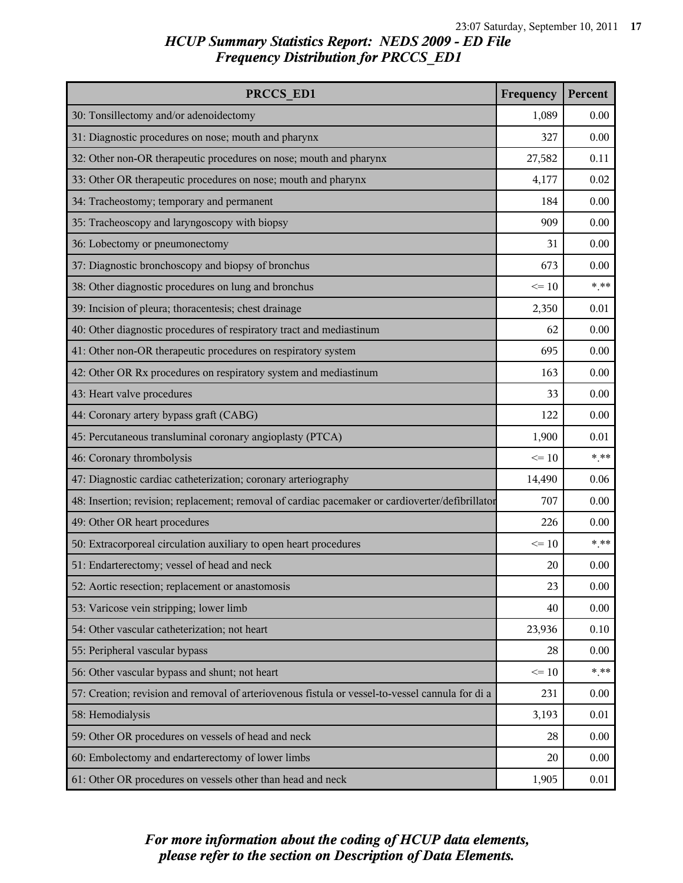| PRCCS_ED1                                                                                        | Frequency | Percent |
|--------------------------------------------------------------------------------------------------|-----------|---------|
| 30: Tonsillectomy and/or adenoidectomy                                                           | 1,089     | 0.00    |
| 31: Diagnostic procedures on nose; mouth and pharynx                                             | 327       | 0.00    |
| 32: Other non-OR therapeutic procedures on nose; mouth and pharynx                               | 27,582    | 0.11    |
| 33: Other OR therapeutic procedures on nose; mouth and pharynx                                   | 4,177     | 0.02    |
| 34: Tracheostomy; temporary and permanent                                                        | 184       | 0.00    |
| 35: Tracheoscopy and laryngoscopy with biopsy                                                    | 909       | 0.00    |
| 36: Lobectomy or pneumonectomy                                                                   | 31        | 0.00    |
| 37: Diagnostic bronchoscopy and biopsy of bronchus                                               | 673       | 0.00    |
| 38: Other diagnostic procedures on lung and bronchus                                             | $\leq 10$ | $***$   |
| 39: Incision of pleura; thoracentesis; chest drainage                                            | 2,350     | 0.01    |
| 40: Other diagnostic procedures of respiratory tract and mediastinum                             | 62        | 0.00    |
| 41: Other non-OR therapeutic procedures on respiratory system                                    | 695       | 0.00    |
| 42: Other OR Rx procedures on respiratory system and mediastinum                                 | 163       | 0.00    |
| 43: Heart valve procedures                                                                       | 33        | 0.00    |
| 44: Coronary artery bypass graft (CABG)                                                          | 122       | 0.00    |
| 45: Percutaneous transluminal coronary angioplasty (PTCA)                                        | 1,900     | 0.01    |
| 46: Coronary thrombolysis                                                                        | $\leq 10$ | $***$   |
| 47: Diagnostic cardiac catheterization; coronary arteriography                                   | 14,490    | 0.06    |
| 48: Insertion; revision; replacement; removal of cardiac pacemaker or cardioverter/defibrillator | 707       | 0.00    |
| 49: Other OR heart procedures                                                                    | 226       | 0.00    |
| 50: Extracorporeal circulation auxiliary to open heart procedures                                | $\leq 10$ | $***$   |
| 51: Endarterectomy; vessel of head and neck                                                      | 20        | 0.00    |
| 52: Aortic resection; replacement or anastomosis                                                 | 23        | 0.00    |
| 53: Varicose vein stripping; lower limb                                                          | 40        | 0.00    |
| 54: Other vascular catheterization; not heart                                                    | 23,936    | 0.10    |
| 55: Peripheral vascular bypass                                                                   | 28        | 0.00    |
| 56: Other vascular bypass and shunt; not heart                                                   | $\leq 10$ | $***$   |
| 57: Creation; revision and removal of arteriovenous fistula or vessel-to-vessel cannula for di a | 231       | 0.00    |
| 58: Hemodialysis                                                                                 | 3,193     | 0.01    |
| 59: Other OR procedures on vessels of head and neck                                              | 28        | 0.00    |
| 60: Embolectomy and endarterectomy of lower limbs                                                | 20        | 0.00    |
| 61: Other OR procedures on vessels other than head and neck                                      | 1,905     | 0.01    |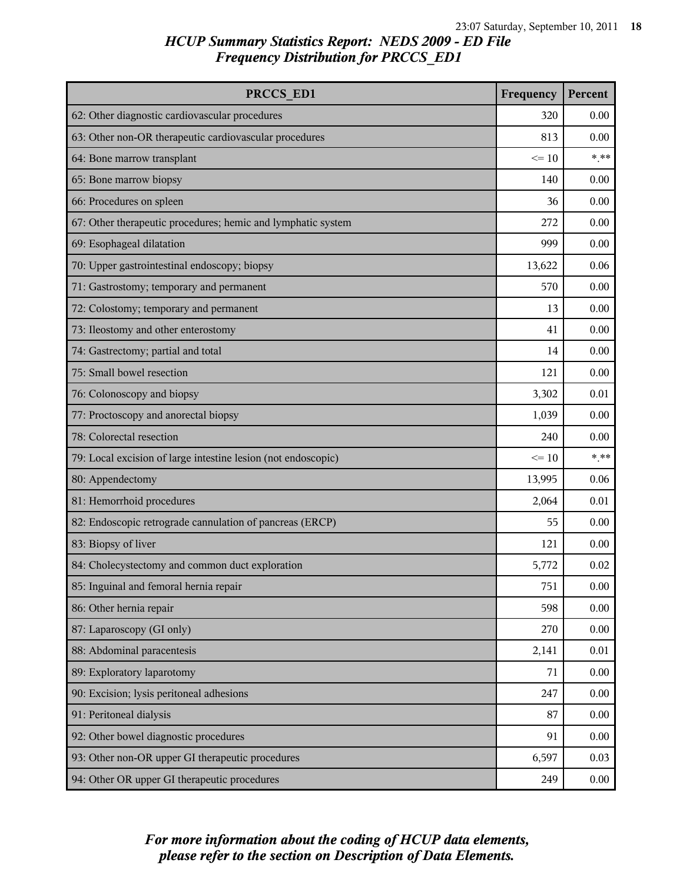| PRCCS ED1                                                     | Frequency | Percent |
|---------------------------------------------------------------|-----------|---------|
| 62: Other diagnostic cardiovascular procedures                | 320       | 0.00    |
| 63: Other non-OR therapeutic cardiovascular procedures        | 813       | 0.00    |
| 64: Bone marrow transplant                                    | $\leq 10$ | $* * *$ |
| 65: Bone marrow biopsy                                        | 140       | 0.00    |
| 66: Procedures on spleen                                      | 36        | 0.00    |
| 67: Other therapeutic procedures; hemic and lymphatic system  | 272       | 0.00    |
| 69: Esophageal dilatation                                     | 999       | 0.00    |
| 70: Upper gastrointestinal endoscopy; biopsy                  | 13,622    | 0.06    |
| 71: Gastrostomy; temporary and permanent                      | 570       | 0.00    |
| 72: Colostomy; temporary and permanent                        | 13        | 0.00    |
| 73: Ileostomy and other enterostomy                           | 41        | 0.00    |
| 74: Gastrectomy; partial and total                            | 14        | 0.00    |
| 75: Small bowel resection                                     | 121       | 0.00    |
| 76: Colonoscopy and biopsy                                    | 3,302     | 0.01    |
| 77: Proctoscopy and anorectal biopsy                          | 1,039     | 0.00    |
| 78: Colorectal resection                                      | 240       | 0.00    |
| 79: Local excision of large intestine lesion (not endoscopic) | $\leq 10$ | $***$   |
| 80: Appendectomy                                              | 13,995    | 0.06    |
| 81: Hemorrhoid procedures                                     | 2,064     | 0.01    |
| 82: Endoscopic retrograde cannulation of pancreas (ERCP)      | 55        | 0.00    |
| 83: Biopsy of liver                                           | 121       | 0.00    |
| 84: Cholecystectomy and common duct exploration               | 5,772     | 0.02    |
| 85: Inguinal and femoral hernia repair                        | 751       | 0.00    |
| 86: Other hernia repair                                       | 598       | 0.00    |
| 87: Laparoscopy (GI only)                                     | 270       | 0.00    |
| 88: Abdominal paracentesis                                    | 2,141     | 0.01    |
| 89: Exploratory laparotomy                                    | 71        | 0.00    |
| 90: Excision; lysis peritoneal adhesions                      | 247       | 0.00    |
| 91: Peritoneal dialysis                                       | 87        | 0.00    |
| 92: Other bowel diagnostic procedures                         | 91        | 0.00    |
| 93: Other non-OR upper GI therapeutic procedures              | 6,597     | 0.03    |
| 94: Other OR upper GI therapeutic procedures                  | 249       | 0.00    |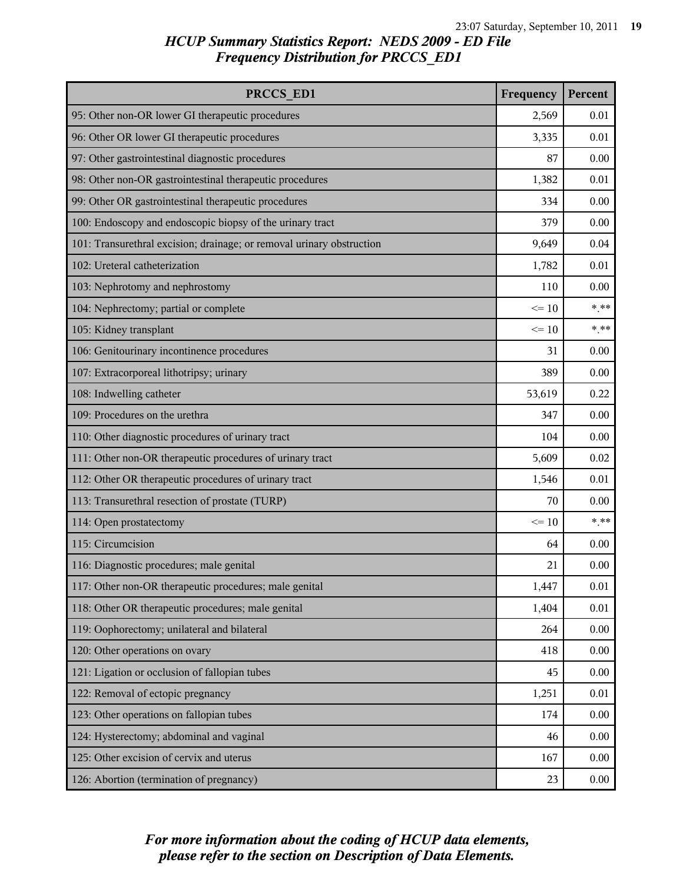| PRCCS ED1                                                             | Frequency | Percent |
|-----------------------------------------------------------------------|-----------|---------|
| 95: Other non-OR lower GI therapeutic procedures                      | 2,569     | 0.01    |
| 96: Other OR lower GI therapeutic procedures                          | 3,335     | 0.01    |
| 97: Other gastrointestinal diagnostic procedures                      | 87        | 0.00    |
| 98: Other non-OR gastrointestinal therapeutic procedures              | 1,382     | 0.01    |
| 99: Other OR gastrointestinal therapeutic procedures                  | 334       | 0.00    |
| 100: Endoscopy and endoscopic biopsy of the urinary tract             | 379       | 0.00    |
| 101: Transurethral excision; drainage; or removal urinary obstruction | 9,649     | 0.04    |
| 102: Ureteral catheterization                                         | 1,782     | 0.01    |
| 103: Nephrotomy and nephrostomy                                       | 110       | 0.00    |
| 104: Nephrectomy; partial or complete                                 | $\leq 10$ | $***$   |
| 105: Kidney transplant                                                | $\leq 10$ | $***$   |
| 106: Genitourinary incontinence procedures                            | 31        | 0.00    |
| 107: Extracorporeal lithotripsy; urinary                              | 389       | 0.00    |
| 108: Indwelling catheter                                              | 53,619    | 0.22    |
| 109: Procedures on the urethra                                        | 347       | 0.00    |
| 110: Other diagnostic procedures of urinary tract                     | 104       | 0.00    |
| 111: Other non-OR therapeutic procedures of urinary tract             | 5,609     | 0.02    |
| 112: Other OR therapeutic procedures of urinary tract                 | 1,546     | 0.01    |
| 113: Transurethral resection of prostate (TURP)                       | 70        | 0.00    |
| 114: Open prostatectomy                                               | $\leq 10$ | $***$   |
| 115: Circumcision                                                     | 64        | 0.00    |
| 116: Diagnostic procedures; male genital                              | 21        | 0.00    |
| 117: Other non-OR therapeutic procedures; male genital                | 1,447     | 0.01    |
| 118: Other OR therapeutic procedures; male genital                    | 1,404     | 0.01    |
| 119: Oophorectomy; unilateral and bilateral                           | 264       | 0.00    |
| 120: Other operations on ovary                                        | 418       | 0.00    |
| 121: Ligation or occlusion of fallopian tubes                         | 45        | 0.00    |
| 122: Removal of ectopic pregnancy                                     | 1,251     | 0.01    |
| 123: Other operations on fallopian tubes                              | 174       | 0.00    |
| 124: Hysterectomy; abdominal and vaginal                              | 46        | 0.00    |
| 125: Other excision of cervix and uterus                              | 167       | 0.00    |
| 126: Abortion (termination of pregnancy)                              | 23        | 0.00    |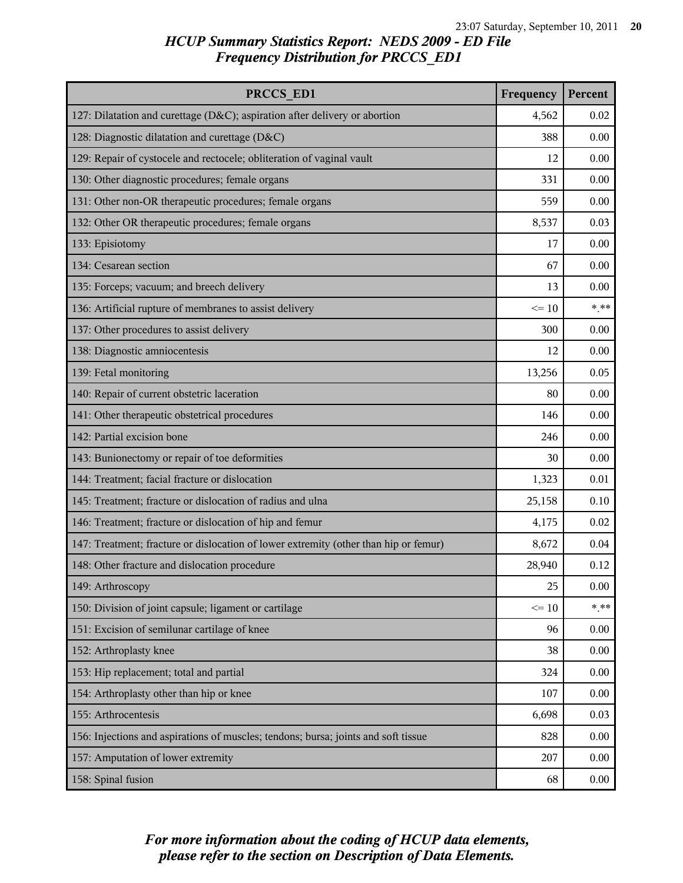| PRCCS ED1                                                                            | Frequency | Percent |
|--------------------------------------------------------------------------------------|-----------|---------|
| 127: Dilatation and curettage (D&C); aspiration after delivery or abortion           | 4,562     | 0.02    |
| 128: Diagnostic dilatation and curettage (D&C)                                       | 388       | 0.00    |
| 129: Repair of cystocele and rectocele; obliteration of vaginal vault                | 12        | 0.00    |
| 130: Other diagnostic procedures; female organs                                      | 331       | 0.00    |
| 131: Other non-OR therapeutic procedures; female organs                              | 559       | 0.00    |
| 132: Other OR therapeutic procedures; female organs                                  | 8,537     | 0.03    |
| 133: Episiotomy                                                                      | 17        | 0.00    |
| 134: Cesarean section                                                                | 67        | 0.00    |
| 135: Forceps; vacuum; and breech delivery                                            | 13        | 0.00    |
| 136: Artificial rupture of membranes to assist delivery                              | $\leq 10$ | $***$   |
| 137: Other procedures to assist delivery                                             | 300       | 0.00    |
| 138: Diagnostic amniocentesis                                                        | 12        | 0.00    |
| 139: Fetal monitoring                                                                | 13,256    | 0.05    |
| 140: Repair of current obstetric laceration                                          | 80        | 0.00    |
| 141: Other therapeutic obstetrical procedures                                        | 146       | 0.00    |
| 142: Partial excision bone                                                           | 246       | 0.00    |
| 143: Bunionectomy or repair of toe deformities                                       | 30        | 0.00    |
| 144: Treatment; facial fracture or dislocation                                       | 1,323     | 0.01    |
| 145: Treatment; fracture or dislocation of radius and ulna                           | 25,158    | 0.10    |
| 146: Treatment; fracture or dislocation of hip and femur                             | 4,175     | 0.02    |
| 147: Treatment; fracture or dislocation of lower extremity (other than hip or femur) | 8,672     | 0.04    |
| 148: Other fracture and dislocation procedure                                        | 28,940    | 0.12    |
| 149: Arthroscopy                                                                     | 25        | 0.00    |
| 150: Division of joint capsule; ligament or cartilage                                | $\leq 10$ | $* * *$ |
| 151: Excision of semilunar cartilage of knee                                         | 96        | 0.00    |
| 152: Arthroplasty knee                                                               | 38        | 0.00    |
| 153: Hip replacement; total and partial                                              | 324       | 0.00    |
| 154: Arthroplasty other than hip or knee                                             | 107       | 0.00    |
| 155: Arthrocentesis                                                                  | 6,698     | 0.03    |
| 156: Injections and aspirations of muscles; tendons; bursa; joints and soft tissue   | 828       | 0.00    |
| 157: Amputation of lower extremity                                                   | 207       | 0.00    |
| 158: Spinal fusion                                                                   | 68        | 0.00    |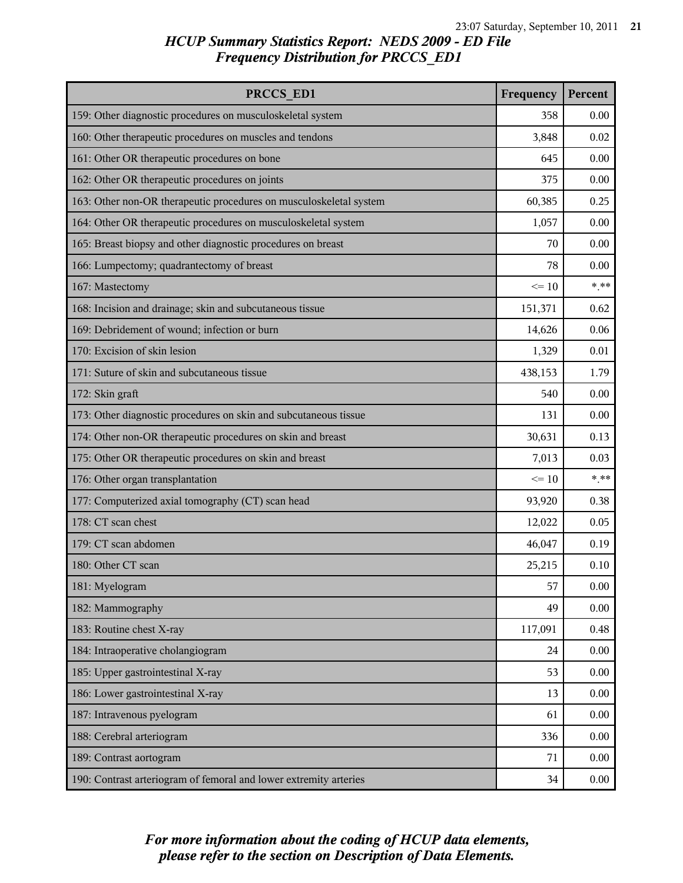| PRCCS ED1                                                          | Frequency | Percent |
|--------------------------------------------------------------------|-----------|---------|
| 159: Other diagnostic procedures on musculoskeletal system         | 358       | 0.00    |
| 160: Other therapeutic procedures on muscles and tendons           | 3,848     | 0.02    |
| 161: Other OR therapeutic procedures on bone                       | 645       | 0.00    |
| 162: Other OR therapeutic procedures on joints                     | 375       | 0.00    |
| 163: Other non-OR therapeutic procedures on musculoskeletal system | 60,385    | 0.25    |
| 164: Other OR therapeutic procedures on musculoskeletal system     | 1,057     | 0.00    |
| 165: Breast biopsy and other diagnostic procedures on breast       | 70        | 0.00    |
| 166: Lumpectomy; quadrantectomy of breast                          | 78        | 0.00    |
| 167: Mastectomy                                                    | $\leq 10$ | $***$   |
| 168: Incision and drainage; skin and subcutaneous tissue           | 151,371   | 0.62    |
| 169: Debridement of wound; infection or burn                       | 14,626    | 0.06    |
| 170: Excision of skin lesion                                       | 1,329     | 0.01    |
| 171: Suture of skin and subcutaneous tissue                        | 438,153   | 1.79    |
| 172: Skin graft                                                    | 540       | 0.00    |
| 173: Other diagnostic procedures on skin and subcutaneous tissue   | 131       | 0.00    |
| 174: Other non-OR therapeutic procedures on skin and breast        | 30,631    | 0.13    |
| 175: Other OR therapeutic procedures on skin and breast            | 7,013     | 0.03    |
| 176: Other organ transplantation                                   | $\leq 10$ | $***$   |
| 177: Computerized axial tomography (CT) scan head                  | 93,920    | 0.38    |
| 178: CT scan chest                                                 | 12,022    | 0.05    |
| 179: CT scan abdomen                                               | 46,047    | 0.19    |
| 180: Other CT scan                                                 | 25,215    | 0.10    |
| 181: Myelogram                                                     | 57        | 0.00    |
| 182: Mammography                                                   | 49        | 0.00    |
| 183: Routine chest X-ray                                           | 117,091   | 0.48    |
| 184: Intraoperative cholangiogram                                  | 24        | 0.00    |
| 185: Upper gastrointestinal X-ray                                  | 53        | 0.00    |
| 186: Lower gastrointestinal X-ray                                  | 13        | 0.00    |
| 187: Intravenous pyelogram                                         | 61        | 0.00    |
| 188: Cerebral arteriogram                                          | 336       | 0.00    |
| 189: Contrast aortogram                                            | 71        | 0.00    |
| 190: Contrast arteriogram of femoral and lower extremity arteries  | 34        | 0.00    |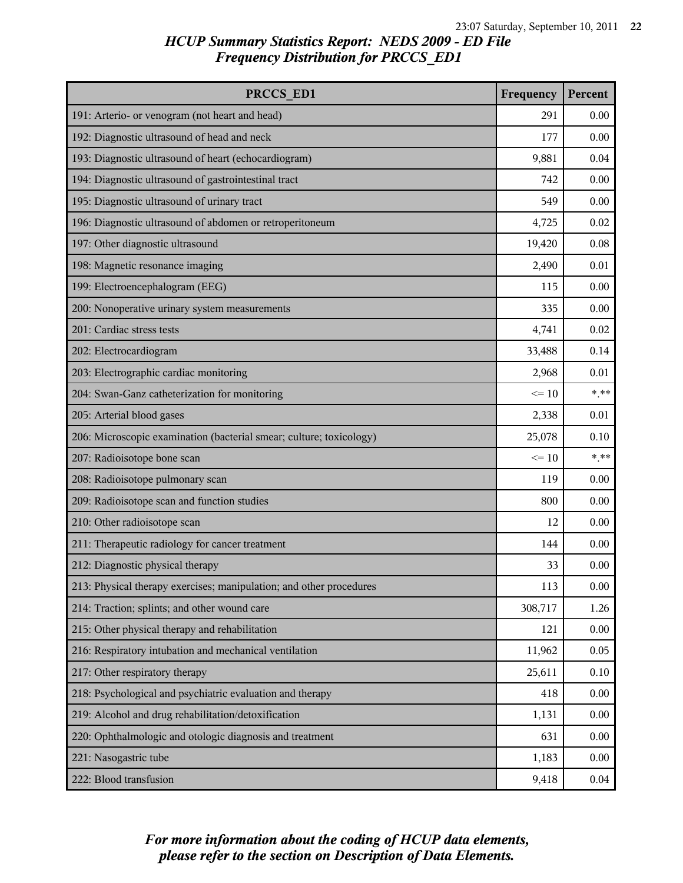| PRCCS ED1                                                           | Frequency | Percent |
|---------------------------------------------------------------------|-----------|---------|
| 191: Arterio- or venogram (not heart and head)                      | 291       | 0.00    |
| 192: Diagnostic ultrasound of head and neck                         | 177       | 0.00    |
| 193: Diagnostic ultrasound of heart (echocardiogram)                | 9,881     | 0.04    |
| 194: Diagnostic ultrasound of gastrointestinal tract                | 742       | 0.00    |
| 195: Diagnostic ultrasound of urinary tract                         | 549       | 0.00    |
| 196: Diagnostic ultrasound of abdomen or retroperitoneum            | 4,725     | 0.02    |
| 197: Other diagnostic ultrasound                                    | 19,420    | 0.08    |
| 198: Magnetic resonance imaging                                     | 2,490     | 0.01    |
| 199: Electroencephalogram (EEG)                                     | 115       | 0.00    |
| 200: Nonoperative urinary system measurements                       | 335       | 0.00    |
| 201: Cardiac stress tests                                           | 4,741     | 0.02    |
| 202: Electrocardiogram                                              | 33,488    | 0.14    |
| 203: Electrographic cardiac monitoring                              | 2,968     | 0.01    |
| 204: Swan-Ganz catheterization for monitoring                       | $\leq 10$ | $***$   |
| 205: Arterial blood gases                                           | 2,338     | 0.01    |
| 206: Microscopic examination (bacterial smear; culture; toxicology) | 25,078    | 0.10    |
| 207: Radioisotope bone scan                                         | $\leq 10$ | $***$   |
| 208: Radioisotope pulmonary scan                                    | 119       | 0.00    |
| 209: Radioisotope scan and function studies                         | 800       | 0.00    |
| 210: Other radioisotope scan                                        | 12        | 0.00    |
| 211: Therapeutic radiology for cancer treatment                     | 144       | 0.00    |
| 212: Diagnostic physical therapy                                    | 33        | 0.00    |
| 213: Physical therapy exercises; manipulation; and other procedures | 113       | 0.00    |
| 214: Traction; splints; and other wound care                        | 308,717   | 1.26    |
| 215: Other physical therapy and rehabilitation                      | 121       | 0.00    |
| 216: Respiratory intubation and mechanical ventilation              | 11,962    | 0.05    |
| 217: Other respiratory therapy                                      | 25,611    | 0.10    |
| 218: Psychological and psychiatric evaluation and therapy           | 418       | 0.00    |
| 219: Alcohol and drug rehabilitation/detoxification                 | 1,131     | 0.00    |
| 220: Ophthalmologic and otologic diagnosis and treatment            | 631       | 0.00    |
| 221: Nasogastric tube                                               | 1,183     | 0.00    |
| 222: Blood transfusion                                              | 9,418     | 0.04    |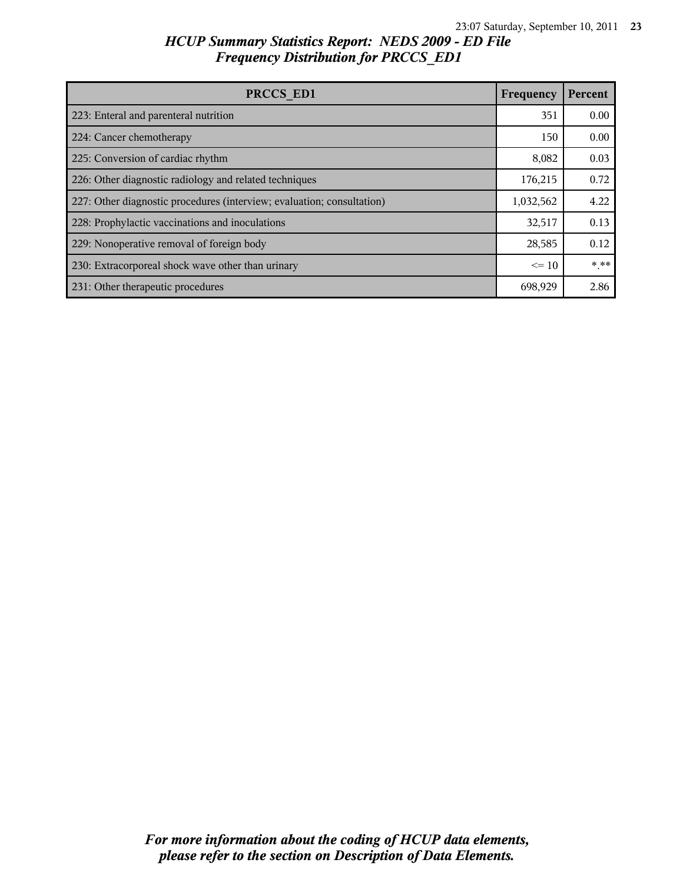| PRCCS ED1                                                              | Frequency | Percent |
|------------------------------------------------------------------------|-----------|---------|
| 223: Enteral and parenteral nutrition                                  | 351       | 0.00    |
| 224: Cancer chemotherapy                                               | 150       | 0.00    |
| 225: Conversion of cardiac rhythm                                      | 8,082     | 0.03    |
| 226: Other diagnostic radiology and related techniques                 | 176,215   | 0.72    |
| 227: Other diagnostic procedures (interview; evaluation; consultation) | 1,032,562 | 4.22    |
| 228: Prophylactic vaccinations and inoculations                        | 32,517    | 0.13    |
| 229: Nonoperative removal of foreign body                              | 28,585    | 0.12    |
| 230: Extracorporeal shock wave other than urinary                      | $\leq 10$ | $* * *$ |
| 231: Other therapeutic procedures                                      | 698,929   | 2.86    |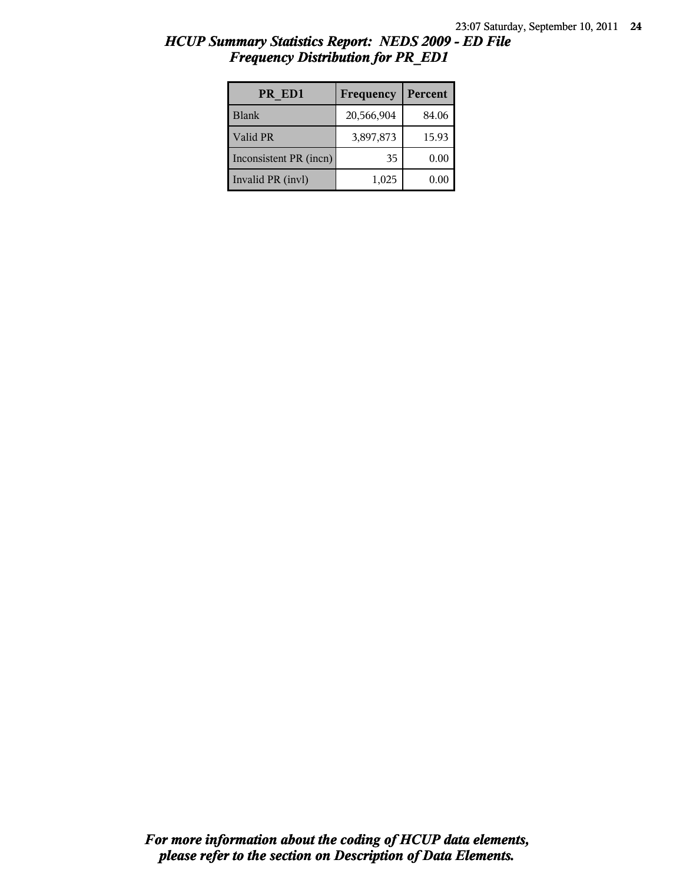| <b>Frequency Distribution for PR EDI</b> |                            |             |
|------------------------------------------|----------------------------|-------------|
| PR ED1                                   | <b>Frequency   Percent</b> |             |
| $11$ aniz                                | 20 E66004                  | $04 \Omega$ |

| PR ED1                 | Frequency  | Percent |
|------------------------|------------|---------|
| <b>Blank</b>           | 20,566,904 | 84.06   |
| Valid PR               | 3,897,873  | 15.93   |
| Inconsistent PR (incn) | 35         | 0.00    |
| Invalid PR (invl)      | 1,025      | 0.01    |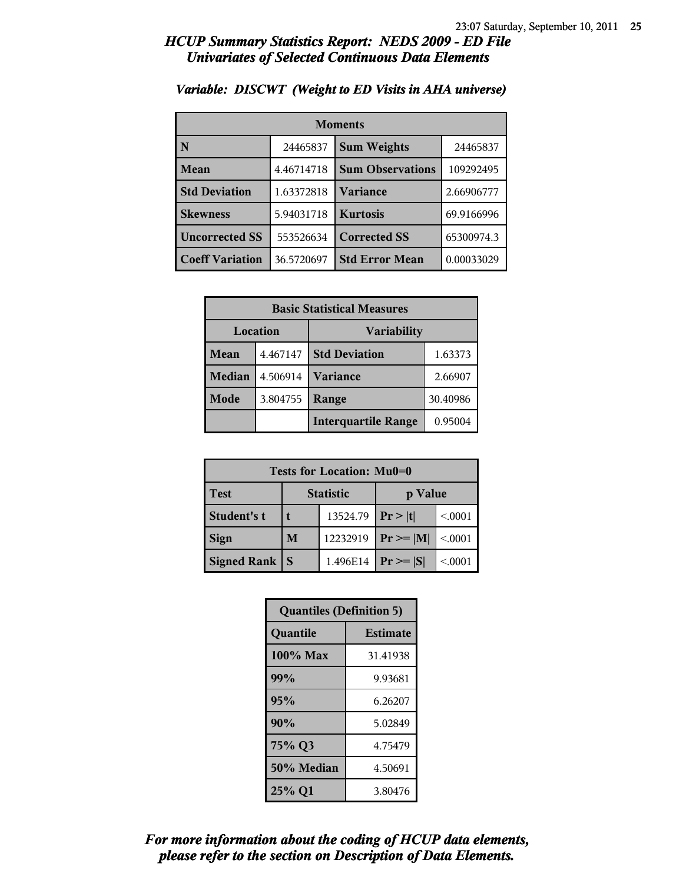### *HCUP Summary Statistics Report: NEDS 2009 - ED File Univariates of Selected Continuous Data Elements*

| <b>Moments</b>         |            |                         |            |
|------------------------|------------|-------------------------|------------|
| N                      | 24465837   | <b>Sum Weights</b>      | 24465837   |
| Mean                   | 4.46714718 | <b>Sum Observations</b> | 109292495  |
| <b>Std Deviation</b>   | 1.63372818 | Variance                | 2.66906777 |
| <b>Skewness</b>        | 5.94031718 | <b>Kurtosis</b>         | 69.9166996 |
| <b>Uncorrected SS</b>  | 553526634  | <b>Corrected SS</b>     | 65300974.3 |
| <b>Coeff Variation</b> | 36.5720697 | <b>Std Error Mean</b>   | 0.00033029 |

### *Variable: DISCWT (Weight to ED Visits in AHA universe)*

| <b>Basic Statistical Measures</b> |          |                            |          |
|-----------------------------------|----------|----------------------------|----------|
| Location                          |          | <b>Variability</b>         |          |
| <b>Mean</b>                       | 4.467147 | <b>Std Deviation</b>       | 1.63373  |
| <b>Median</b>                     | 4.506914 | <b>Variance</b>            | 2.66907  |
| Mode                              | 3.804755 | Range                      | 30.40986 |
|                                   |          | <b>Interquartile Range</b> | 0.95004  |

| Tests for Location: Mu0=0 |                  |          |                |         |
|---------------------------|------------------|----------|----------------|---------|
| <b>Test</b>               | <b>Statistic</b> |          | p Value        |         |
| Student's t               |                  | 13524.79 | Pr >  t        | < 0.001 |
| <b>Sign</b>               | M                | 12232919 | $Pr \ge =  M $ | < 0.001 |
| Signed Rank               | $\mathbf S$      | 1.496E14 | $Pr \geq  S $  | < 0001  |

| <b>Quantiles (Definition 5)</b> |                 |  |
|---------------------------------|-----------------|--|
| Quantile                        | <b>Estimate</b> |  |
| 100% Max                        | 31.41938        |  |
| 99%                             | 9.93681         |  |
| 95%                             | 6.26207         |  |
| 90%                             | 5.02849         |  |
| 75% Q3                          | 4.75479         |  |
| 50% Median                      | 4.50691         |  |
| 25% Q1                          | 3.80476         |  |